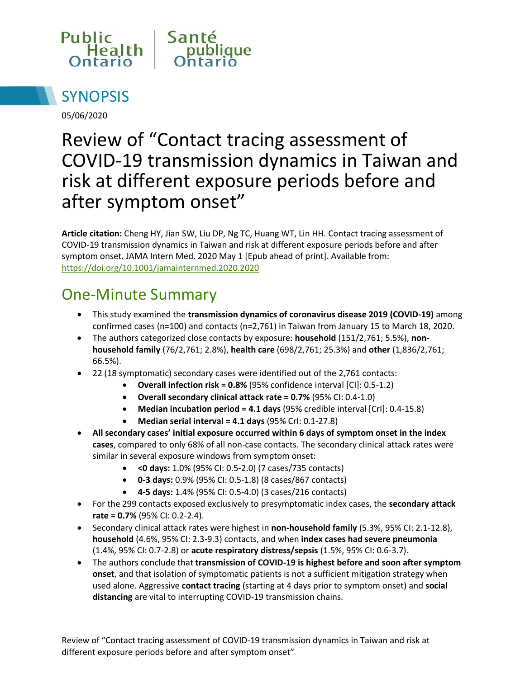



05/06/2020

# Review of "Contact tracing assessment of COVID-19 transmission dynamics in Taiwan and risk at different exposure periods before and after symptom onset"

**Article citation:** Cheng HY, Jian SW, Liu DP, Ng TC, Huang WT, Lin HH. Contact tracing assessment of COVID-19 transmission dynamics in Taiwan and risk at different exposure periods before and after symptom onset. JAMA Intern Med. 2020 May 1 [Epub ahead of print]. Available from: <https://doi.org/10.1001/jamainternmed.2020.2020>

### One-Minute Summary

- This study examined the **transmission dynamics of coronavirus disease 2019 (COVID-19)** among confirmed cases (n=100) and contacts (n=2,761) in Taiwan from January 15 to March 18, 2020.
- The authors categorized close contacts by exposure: **household** (151/2,761; 5.5%), **nonhousehold family** (76/2,761; 2.8%), **health care** (698/2,761; 25.3%) and **other** (1,836/2,761; 66.5%).
- 22 (18 symptomatic) secondary cases were identified out of the 2,761 contacts:
	- **Overall infection risk = 0.8%** (95% confidence interval [CI]: 0.5-1.2)
	- **Overall secondary clinical attack rate = 0.7%** (95% CI: 0.4-1.0)
	- **Median incubation period = 4.1 days** (95% credible interval [CrI]: 0.4-15.8)
	- **Median serial interval = 4.1 days** (95% CrI: 0.1-27.8)
- **All secondary cases' initial exposure occurred within 6 days of symptom onset in the index cases**, compared to only 68% of all non-case contacts. The secondary clinical attack rates were similar in several exposure windows from symptom onset:
	- **<0 days:** 1.0% (95% CI: 0.5-2.0) (7 cases/735 contacts)
	- **0-3 days:** 0.9% (95% CI: 0.5-1.8) (8 cases/867 contacts)
	- **4-5 days:** 1.4% (95% CI: 0.5-4.0) (3 cases/216 contacts)
- For the 299 contacts exposed exclusively to presymptomatic index cases, the **secondary attack rate = 0.7%** (95% CI: 0.2-2.4).
- Secondary clinical attack rates were highest in **non-household family** (5.3%, 95% CI: 2.1-12.8), **household** (4.6%, 95% CI: 2.3-9.3) contacts, and when **index cases had severe pneumonia** (1.4%, 95% CI: 0.7-2.8) or **acute respiratory distress/sepsis** (1.5%, 95% CI: 0.6-3.7).
- The authors conclude that **transmission of COVID-19 is highest before and soon after symptom onset**, and that isolation of symptomatic patients is not a sufficient mitigation strategy when used alone. Aggressive **contact tracing** (starting at 4 days prior to symptom onset) and **social distancing** are vital to interrupting COVID-19 transmission chains.